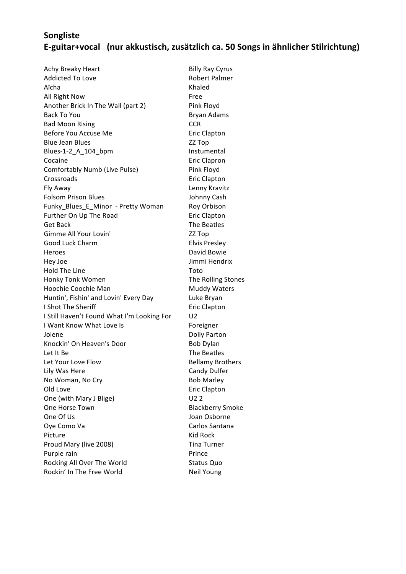## **Songliste E-guitar+vocal (nur akkustisch, zusätzlich ca. 50 Songs in ähnlicher Stilrichtung)**

Achy Breaky Heart **Billy Ray Cyrus** Billy Ray Cyrus Addicted To Love **Robert Palmer** Aïcha **Khaled** All Right Now **Free** Another Brick In The Wall (part 2) Pink Floyd Back To You **Bryan** Adams Bad Moon Rising **CCR** Before You Accuse Me **Example 20** Eric Clapton Blue Jean Blues **Manual Accord 22** Top Blues-1-2\_A\_104\_bpm Instumental Cocaine **Existence** Eric Clapron Comfortably Numb (Live Pulse) Pink Floyd Crossroads **Existence** Eric Clapton Fly Away **Lenny Kravitz** Folsom Prison Blues **Johnny Cash** Funky Blues E Minor - Pretty Woman Roy Orbison Further On Up The Road Eric Clapton Get Back **Guaranteer Contract Contract Contract Contract Contract Contract Contract Contract Contract Contract Contract Contract Contract Contract Contract Contract Contract Contract Contract Contract Contract Contract Con** Gimme All Your Lovin' ZZ Top Good Luck Charm **Elvis** Presley Heroes **David Bowie** Hey Joe **Markowski** Jimmi Hendrix Hold The Line Toto Honky Tonk Women The Rolling Stones Hoochie Coochie Man **Muddy** Waters Huntin', Fishin' and Lovin' Every Day Luke Bryan I Shot The Sheriff **Example 20** Eric Clapton I Still Haven't Found What I'm Looking For U2 I Want Know What Love Is **Example 2** Foreigner Jolene **Dolly Parton** Knockin' On Heaven's Door Bob Dylan Let It Be **Secure The Beatles** Let Your Love Flow **Bellamy** Brothers Lily Was Here **Candy Dulfer** No Woman, No Cry **Bob Marley** Bob Marley Old Love **Example 2018** Eric Clapton One (with Mary J Blige) U2 2 One Horse Town **Blackberry** Smoke One Of Us **Community** Community Community Community Community Joan Osborne Oye Como Va **Carlos** Santana Picture **Contract Contract Contract Contract Contract Contract Contract Contract Contract Contract Contract Contract Contract Contract Contract Contract Contract Contract Contract Contract Contract Contract Contract Contra** Proud Mary (live 2008) Tina Turner Purple rain **Prince** Rocking All Over The World Status Quo Rockin' In The Free World Neil Young